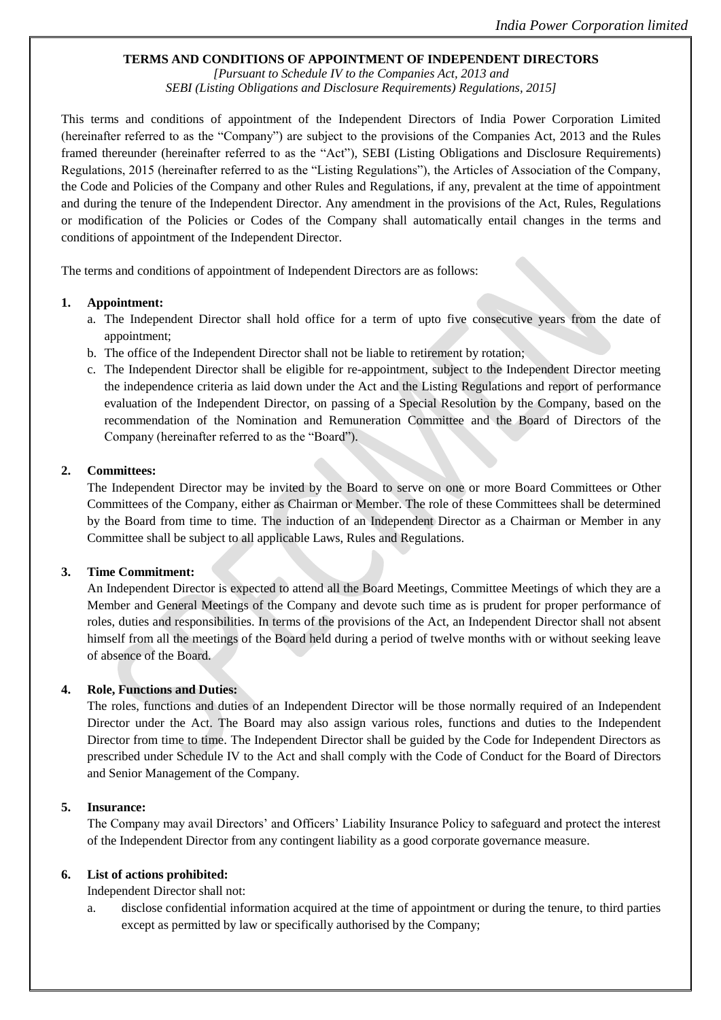### **TERMS AND CONDITIONS OF APPOINTMENT OF INDEPENDENT DIRECTORS**

*[Pursuant to Schedule IV to the Companies Act, 2013 and SEBI (Listing Obligations and Disclosure Requirements) Regulations, 2015]*

This terms and conditions of appointment of the Independent Directors of India Power Corporation Limited (hereinafter referred to as the "Company") are subject to the provisions of the Companies Act, 2013 and the Rules framed thereunder (hereinafter referred to as the "Act"), SEBI (Listing Obligations and Disclosure Requirements) Regulations, 2015 (hereinafter referred to as the "Listing Regulations"), the Articles of Association of the Company, the Code and Policies of the Company and other Rules and Regulations, if any, prevalent at the time of appointment and during the tenure of the Independent Director. Any amendment in the provisions of the Act, Rules, Regulations or modification of the Policies or Codes of the Company shall automatically entail changes in the terms and conditions of appointment of the Independent Director.

The terms and conditions of appointment of Independent Directors are as follows:

#### **1. Appointment:**

- a. The Independent Director shall hold office for a term of upto five consecutive years from the date of appointment;
- b. The office of the Independent Director shall not be liable to retirement by rotation;
- c. The Independent Director shall be eligible for re-appointment, subject to the Independent Director meeting the independence criteria as laid down under the Act and the Listing Regulations and report of performance evaluation of the Independent Director, on passing of a Special Resolution by the Company, based on the recommendation of the Nomination and Remuneration Committee and the Board of Directors of the Company (hereinafter referred to as the "Board").

### **2. Committees:**

The Independent Director may be invited by the Board to serve on one or more Board Committees or Other Committees of the Company, either as Chairman or Member. The role of these Committees shall be determined by the Board from time to time. The induction of an Independent Director as a Chairman or Member in any Committee shall be subject to all applicable Laws, Rules and Regulations.

### **3. Time Commitment:**

An Independent Director is expected to attend all the Board Meetings, Committee Meetings of which they are a Member and General Meetings of the Company and devote such time as is prudent for proper performance of roles, duties and responsibilities. In terms of the provisions of the Act, an Independent Director shall not absent himself from all the meetings of the Board held during a period of twelve months with or without seeking leave of absence of the Board.

### **4. Role, Functions and Duties:**

The roles, functions and duties of an Independent Director will be those normally required of an Independent Director under the Act. The Board may also assign various roles, functions and duties to the Independent Director from time to time. The Independent Director shall be guided by the Code for Independent Directors as prescribed under Schedule IV to the Act and shall comply with the Code of Conduct for the Board of Directors and Senior Management of the Company.

### **5. Insurance:**

The Company may avail Directors' and Officers' Liability Insurance Policy to safeguard and protect the interest of the Independent Director from any contingent liability as a good corporate governance measure.

### **6. List of actions prohibited:**

Independent Director shall not:

disclose confidential information acquired at the time of appointment or during the tenure, to third parties except as permitted by law or specifically authorised by the Company;